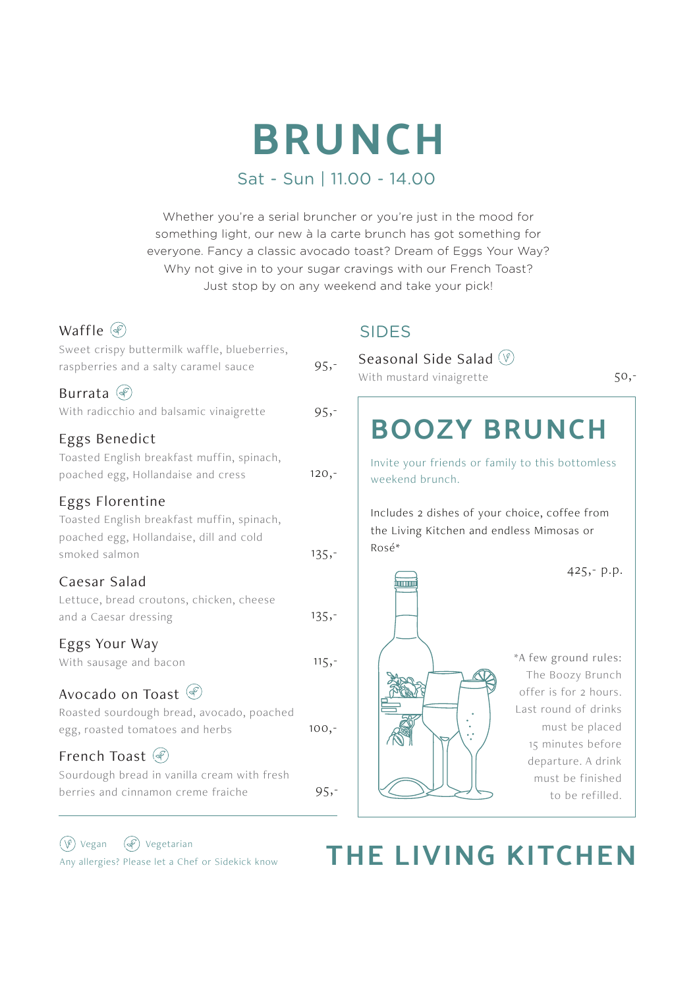# **BRUNCH**

# Sat - Sun | 11.00 - 14.00

Whether you're a serial bruncher or you're just in the mood for something light, our new à la carte brunch has got something for everyone. Fancy a classic avocado toast? Dream of Eggs Your Way? Why not give in to your sugar cravings with our French Toast? Just stop by on any weekend and take your pick!

| Waffle $\mathcal{F}$                                                                                                      |          |
|---------------------------------------------------------------------------------------------------------------------------|----------|
| Sweet crispy buttermilk waffle, blueberries,<br>raspberries and a salty caramel sauce                                     | $95, -$  |
| Burrata $\mathcal{P}$<br>With radicchio and balsamic vinaigrette                                                          | $95, -$  |
| Eggs Benedict<br>Toasted English breakfast muffin, spinach,<br>poached egg, Hollandaise and cress                         | $120, -$ |
| Eggs Florentine<br>Toasted English breakfast muffin, spinach,<br>poached egg, Hollandaise, dill and cold<br>smoked salmon | $135 -$  |
| Caesar Salad<br>Lettuce, bread croutons, chicken, cheese<br>and a Caesar dressing                                         | $135,-$  |
| Eggs Your Way<br>With sausage and bacon                                                                                   | $115, -$ |
| Avocado on Toast (<br>Roasted sourdough bread, avocado, poached<br>egg, roasted tomatoes and herbs                        | $100, -$ |
| French Toast (<br>Sourdough bread in vanilla cream with fresh<br>berries and cinnamon creme fraiche                       | $95, -$  |

# SIDES

| Seasonal Side Salad (V)<br>With mustard vinaigrette                                                 | 50,-                                                                                                                             |
|-----------------------------------------------------------------------------------------------------|----------------------------------------------------------------------------------------------------------------------------------|
| <b>BOOZY BRUNCH</b>                                                                                 |                                                                                                                                  |
| Invite your friends or family to this bottomless<br>weekend brunch.                                 |                                                                                                                                  |
| Includes 2 dishes of your choice, coffee from<br>the Living Kitchen and endless Mimosas or<br>Rosé* |                                                                                                                                  |
| immu                                                                                                | $425 - p.p.$                                                                                                                     |
|                                                                                                     | *A few ground rules:<br>The Boozy Brunch<br>offer is for 2 hours.<br>Last round of drinks<br>must be placed<br>15 minutes before |
|                                                                                                     | departure. A drink<br>must be finished<br>to be refilled.                                                                        |

Vegan Vegetarian

# (<sup>V)</sup> Vegan (*C*) Vegetarian<br>Any allergies? Please let a Chef or Sidekick know **THE LIVING KITCHEN**